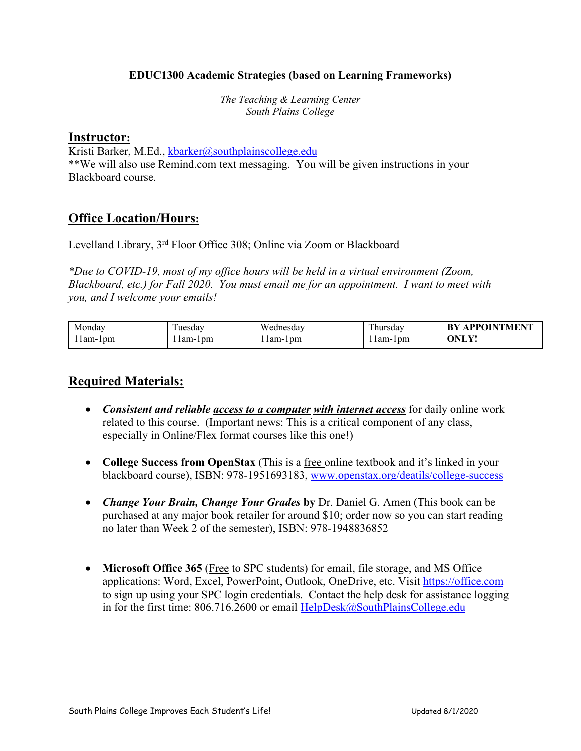#### **EDUC1300 Academic Strategies (based on Learning Frameworks)**

*The Teaching & Learning Center South Plains College*

#### **Instructor:**

Kristi Barker, M.Ed., kbarker@southplainscollege.edu \*\*We will also use Remind.com text messaging. You will be given instructions in your Blackboard course.

### **Office Location/Hours:**

Levelland Library, 3rd Floor Office 308; Online via Zoom or Blackboard

*\*Due to COVID-19, most of my office hours will be held in a virtual environment (Zoom, Blackboard, etc.) for Fall 2020. You must email me for an appointment. I want to meet with you, and I welcome your emails!*

| Monday  | uesdav   | Wednesdav | m<br>l hursdav | <b>APPOINTMENT</b><br>-RV |
|---------|----------|-----------|----------------|---------------------------|
| lam-lpm | -lam-1pm | lam-lpm   | lam-lpm        | $ONL1$ .                  |

### **Required Materials:**

- *Consistent and reliable access to a computer with internet access* for daily online work related to this course. (Important news: This is a critical component of any class, especially in Online/Flex format courses like this one!)
- **College Success from OpenStax** (This is a free online textbook and it's linked in your blackboard course), ISBN: 978-1951693183, www.openstax.org/deatils/college-success
- *Change Your Brain, Change Your Grades* **by** Dr. Daniel G. Amen (This book can be purchased at any major book retailer for around \$10; order now so you can start reading no later than Week 2 of the semester), ISBN: 978-1948836852
- **Microsoft Office 365** (Free to SPC students) for email, file storage, and MS Office applications: Word, Excel, PowerPoint, Outlook, OneDrive, etc. Visit https://office.com to sign up using your SPC login credentials. Contact the help desk for assistance logging in for the first time: 806.716.2600 or email HelpDesk@SouthPlainsCollege.edu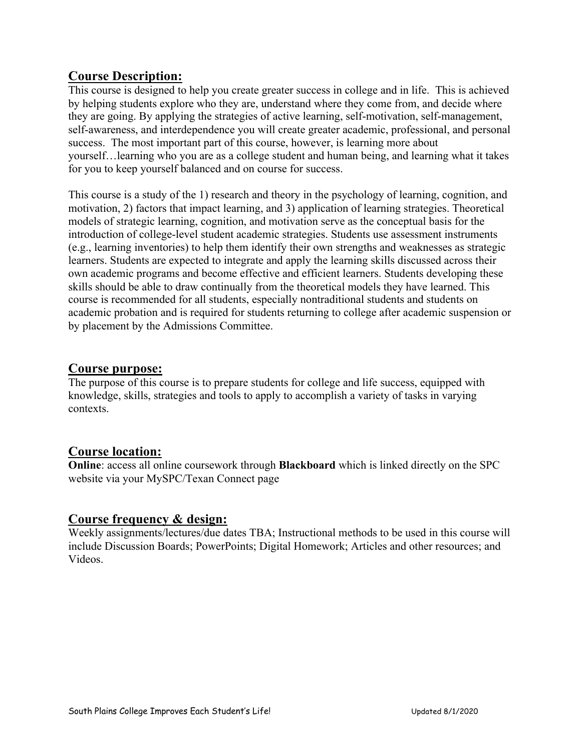## **Course Description:**

This course is designed to help you create greater success in college and in life. This is achieved by helping students explore who they are, understand where they come from, and decide where they are going. By applying the strategies of active learning, self-motivation, self-management, self-awareness, and interdependence you will create greater academic, professional, and personal success. The most important part of this course, however, is learning more about yourself…learning who you are as a college student and human being, and learning what it takes for you to keep yourself balanced and on course for success.

This course is a study of the 1) research and theory in the psychology of learning, cognition, and motivation, 2) factors that impact learning, and 3) application of learning strategies. Theoretical models of strategic learning, cognition, and motivation serve as the conceptual basis for the introduction of college-level student academic strategies. Students use assessment instruments (e.g., learning inventories) to help them identify their own strengths and weaknesses as strategic learners. Students are expected to integrate and apply the learning skills discussed across their own academic programs and become effective and efficient learners. Students developing these skills should be able to draw continually from the theoretical models they have learned. This course is recommended for all students, especially nontraditional students and students on academic probation and is required for students returning to college after academic suspension or by placement by the Admissions Committee.

### **Course purpose:**

The purpose of this course is to prepare students for college and life success, equipped with knowledge, skills, strategies and tools to apply to accomplish a variety of tasks in varying contexts.

# **Course location:**

**Online**: access all online coursework through **Blackboard** which is linked directly on the SPC website via your MySPC/Texan Connect page

# **Course frequency & design:**

Weekly assignments/lectures/due dates TBA; Instructional methods to be used in this course will include Discussion Boards; PowerPoints; Digital Homework; Articles and other resources; and Videos.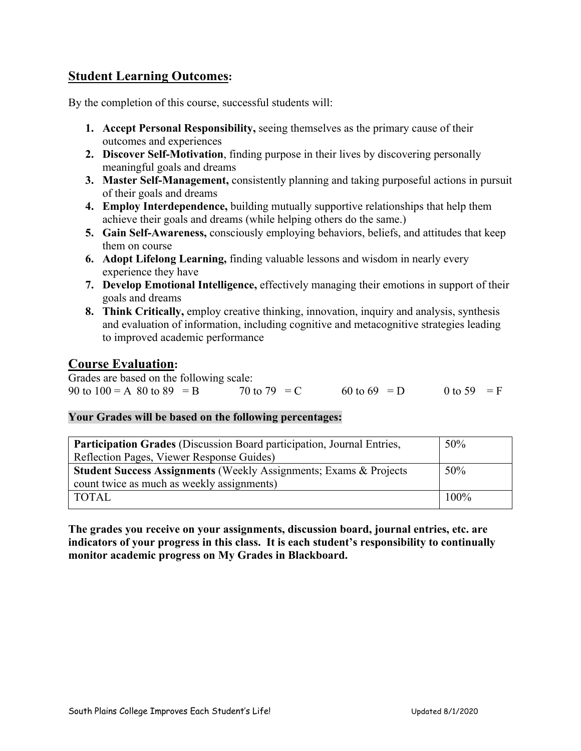# **Student Learning Outcomes:**

By the completion of this course, successful students will:

- **1. Accept Personal Responsibility,** seeing themselves as the primary cause of their outcomes and experiences
- **2. Discover Self-Motivation**, finding purpose in their lives by discovering personally meaningful goals and dreams
- **3. Master Self-Management,** consistently planning and taking purposeful actions in pursuit of their goals and dreams
- **4. Employ Interdependence,** building mutually supportive relationships that help them achieve their goals and dreams (while helping others do the same.)
- **5. Gain Self-Awareness,** consciously employing behaviors, beliefs, and attitudes that keep them on course
- **6. Adopt Lifelong Learning,** finding valuable lessons and wisdom in nearly every experience they have
- **7. Develop Emotional Intelligence,** effectively managing their emotions in support of their goals and dreams
- **8. Think Critically,** employ creative thinking, innovation, inquiry and analysis, synthesis and evaluation of information, including cognitive and metacognitive strategies leading to improved academic performance

### **Course Evaluation:**

Grades are based on the following scale: 90 to 100 = A 80 to 89 = B 70 to 79 = C 60 to 69 = D 0 to 59 = F

#### **Your Grades will be based on the following percentages:**

| 50%    |
|--------|
|        |
| $50\%$ |
|        |
| 100%   |
|        |

**The grades you receive on your assignments, discussion board, journal entries, etc. are indicators of your progress in this class. It is each student's responsibility to continually monitor academic progress on My Grades in Blackboard.**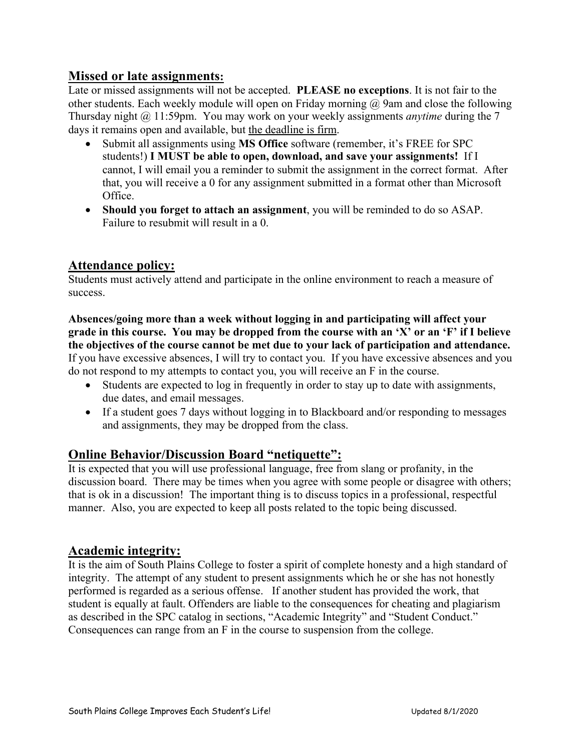### **Missed or late assignments:**

Late or missed assignments will not be accepted. **PLEASE no exceptions**. It is not fair to the other students. Each weekly module will open on Friday morning  $\omega$  9am and close the following Thursday night @ 11:59pm. You may work on your weekly assignments *anytime* during the 7 days it remains open and available, but the deadline is firm.

- Submit all assignments using **MS Office** software (remember, it's FREE for SPC students!) **I MUST be able to open, download, and save your assignments!** If I cannot, I will email you a reminder to submit the assignment in the correct format. After that, you will receive a 0 for any assignment submitted in a format other than Microsoft Office.
- **Should you forget to attach an assignment**, you will be reminded to do so ASAP. Failure to resubmit will result in a 0.

# **Attendance policy:**

Students must actively attend and participate in the online environment to reach a measure of success.

**Absences/going more than a week without logging in and participating will affect your grade in this course. You may be dropped from the course with an 'X' or an 'F' if I believe the objectives of the course cannot be met due to your lack of participation and attendance.** If you have excessive absences, I will try to contact you. If you have excessive absences and you do not respond to my attempts to contact you, you will receive an F in the course.

- Students are expected to log in frequently in order to stay up to date with assignments, due dates, and email messages.
- If a student goes 7 days without logging in to Blackboard and/or responding to messages and assignments, they may be dropped from the class.

# **Online Behavior/Discussion Board "netiquette":**

It is expected that you will use professional language, free from slang or profanity, in the discussion board. There may be times when you agree with some people or disagree with others; that is ok in a discussion! The important thing is to discuss topics in a professional, respectful manner. Also, you are expected to keep all posts related to the topic being discussed.

### **Academic integrity:**

It is the aim of South Plains College to foster a spirit of complete honesty and a high standard of integrity. The attempt of any student to present assignments which he or she has not honestly performed is regarded as a serious offense. If another student has provided the work, that student is equally at fault. Offenders are liable to the consequences for cheating and plagiarism as described in the SPC catalog in sections, "Academic Integrity" and "Student Conduct." Consequences can range from an F in the course to suspension from the college.